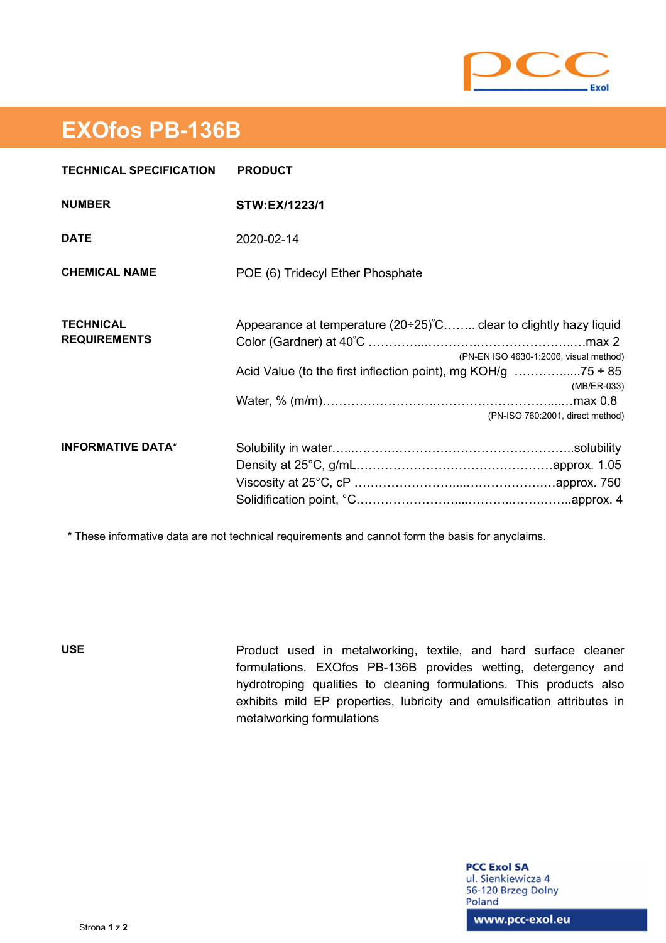

## **EXOfos PB-136B**

| <b>TECHNICAL SPECIFICATION</b>          | <b>PRODUCT</b>                                                                                                                                                    |
|-----------------------------------------|-------------------------------------------------------------------------------------------------------------------------------------------------------------------|
| <b>NUMBER</b>                           | STW:EX/1223/1                                                                                                                                                     |
| <b>DATE</b>                             | 2020-02-14                                                                                                                                                        |
| <b>CHEMICAL NAME</b>                    | POE (6) Tridecyl Ether Phosphate                                                                                                                                  |
| <b>TECHNICAL</b><br><b>REQUIREMENTS</b> | Appearance at temperature $(20+25)$ °C clear to clightly hazy liquid<br>(PN-EN ISO 4630-1:2006, visual method)<br>(MB/ER-033)<br>(PN-ISO 760:2001, direct method) |
| <b>INFORMATIVE DATA*</b>                |                                                                                                                                                                   |

\* These informative data are not technical requirements and cannot form the basis for anyclaims.

**USE** Product used in metalworking, textile, and hard surface cleaner formulations. EXOfos PB-136B provides wetting, detergency and hydrotroping qualities to cleaning formulations. This products also exhibits mild EP properties, lubricity and emulsification attributes in metalworking formulations

> **PCC Exol SA** ul. Sienkiewicza 4 56-120 Brzeg Dolny Poland

www.pcc-exol.eu